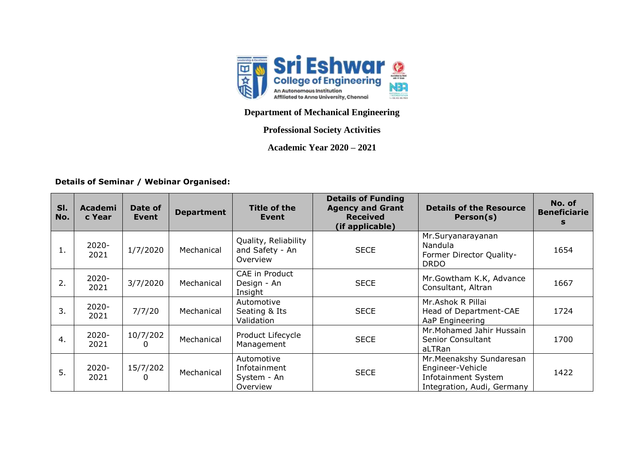

## **Department of Mechanical Engineering**

## **Professional Society Activities**

**Academic Year 2020 – 2021**

## **Details of Seminar / Webinar Organised:**

| SI.<br>No. | Academi<br>c Year | Date of<br>Event | <b>Department</b> | Title of the<br><b>Event</b>                          | <b>Details of Funding</b><br><b>Agency and Grant</b><br><b>Received</b><br>(if applicable) | <b>Details of the Resource</b><br>Person(s)                                                       | No. of<br><b>Beneficiarie</b><br>s |
|------------|-------------------|------------------|-------------------|-------------------------------------------------------|--------------------------------------------------------------------------------------------|---------------------------------------------------------------------------------------------------|------------------------------------|
| 1.         | $2020 -$<br>2021  | 1/7/2020         | Mechanical        | Quality, Reliability<br>and Safety - An<br>Overview   | <b>SECE</b>                                                                                | Mr.Suryanarayanan<br>Nandula<br>Former Director Quality-<br><b>DRDO</b>                           | 1654                               |
| 2.         | $2020 -$<br>2021  | 3/7/2020         | Mechanical        | CAE in Product<br>Design - An<br>Insight              | <b>SECE</b>                                                                                | Mr. Gowtham K.K, Advance<br>Consultant, Altran                                                    | 1667                               |
| 3.         | $2020 -$<br>2021  | 7/7/20           | Mechanical        | Automotive<br>Seating & Its<br>Validation             | <b>SECE</b>                                                                                | Mr.Ashok R Pillai<br>Head of Department-CAE<br>AaP Engineering                                    | 1724                               |
| 4.         | $2020 -$<br>2021  | 10/7/202         | Mechanical        | Product Lifecycle<br>Management                       | <b>SECE</b>                                                                                | Mr. Mohamed Jahir Hussain<br><b>Senior Consultant</b><br>aLTRan                                   | 1700                               |
| 5.         | $2020 -$<br>2021  | 15/7/202         | Mechanical        | Automotive<br>Infotainment<br>System - An<br>Overview | <b>SECE</b>                                                                                | Mr. Meenakshy Sundaresan<br>Engineer-Vehicle<br>Infotainment System<br>Integration, Audi, Germany | 1422                               |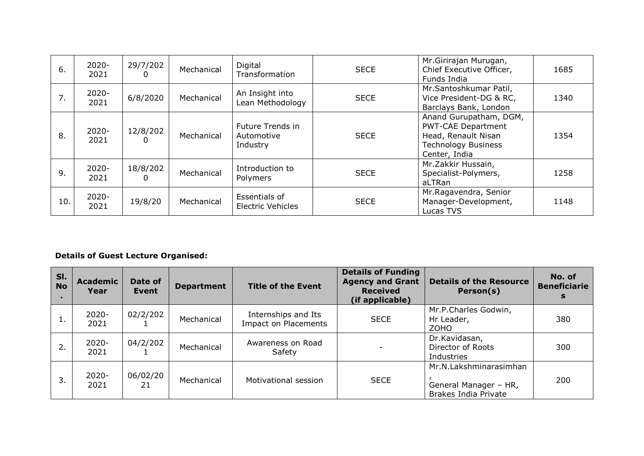| 6.  | $2020 -$<br>2021 | 29/7/202      | Mechanical | Digital<br>Transformation                  | <b>SECE</b> | Mr.Girirajan Murugan,<br>Chief Executive Officer,<br>Funds India                                                          | 1685 |
|-----|------------------|---------------|------------|--------------------------------------------|-------------|---------------------------------------------------------------------------------------------------------------------------|------|
| 7.  | $2020 -$<br>2021 | 6/8/2020      | Mechanical | An Insight into<br>Lean Methodology        | <b>SECE</b> | Mr.Santoshkumar Patil,<br>Vice President-DG & RC,<br>Barclays Bank, London                                                | 1340 |
| 8.  | $2020 -$<br>2021 | 12/8/202      | Mechanical | Future Trends in<br>Automotive<br>Industry | <b>SECE</b> | Anand Gurupatham, DGM,<br><b>PWT-CAE Department</b><br>Head, Renault Nisan<br><b>Technology Business</b><br>Center, India | 1354 |
| 9.  | $2020 -$<br>2021 | 18/8/202<br>0 | Mechanical | Introduction to<br>Polymers                | <b>SECE</b> | Mr. Zakkir Hussain,<br>Specialist-Polymers,<br>aLTRan                                                                     | 1258 |
| 10. | $2020 -$<br>2021 | 19/8/20       | Mechanical | Essentials of<br><b>Electric Vehicles</b>  | <b>SECE</b> | Mr.Ragavendra, Senior<br>Manager-Development,<br>Lucas TVS                                                                | 1148 |

## **Details of Guest Lecture Organised:**

| SI.<br><b>No</b> | <b>Academic</b><br>Year | Date of<br>Event | <b>Department</b> | <b>Title of the Event</b>                   | <b>Details of Funding</b><br><b>Agency and Grant</b><br><b>Received</b><br>(if applicable) | <b>Details of the Resource</b><br>Person(s)                             | No. of<br><b>Beneficiarie</b><br>S |
|------------------|-------------------------|------------------|-------------------|---------------------------------------------|--------------------------------------------------------------------------------------------|-------------------------------------------------------------------------|------------------------------------|
|                  | $2020 -$<br>2021        | 02/2/202         | Mechanical        | Internships and Its<br>Impact on Placements | <b>SECE</b>                                                                                | Mr.P.Charles Godwin,<br>Hr Leader,<br><b>ZOHO</b>                       | 380                                |
| 2.               | $2020 -$<br>2021        | 04/2/202         | Mechanical        | Awareness on Road<br>Safety                 | $\overline{\phantom{0}}$                                                                   | Dr.Kavidasan,<br>Director of Roots<br>Industries                        | 300                                |
| 3.               | $2020 -$<br>2021        | 06/02/20<br>21   | Mechanical        | Motivational session                        | <b>SECE</b>                                                                                | Mr.N.Lakshminarasimhan<br>General Manager - HR,<br>Brakes India Private | 200                                |